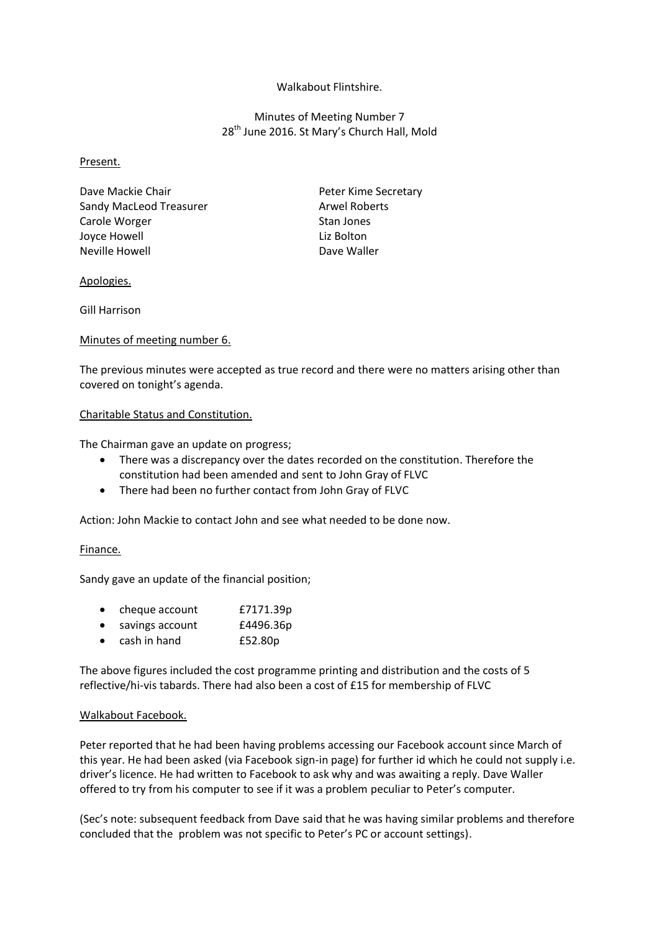### Walkabout Flintshire.

Minutes of Meeting Number 7 28<sup>th</sup> June 2016. St Mary's Church Hall, Mold

#### Present.

Dave Mackie Chair **Peter Kime Secretary** Sandy MacLeod Treasurer Arwel Roberts Carole Worger **Standard Standard Standard Standard Standard Standard Standard Standard Standard Standard Standard Standard Standard Standard Standard Standard Standard Standard Standard Standard Standard Standard Standard** Joyce Howell **Liz Bolton** Neville Howell **Dave Waller** 

### Apologies.

Gill Harrison

### Minutes of meeting number 6.

The previous minutes were accepted as true record and there were no matters arising other than covered on tonight's agenda.

#### Charitable Status and Constitution.

The Chairman gave an update on progress;

- There was a discrepancy over the dates recorded on the constitution. Therefore the constitution had been amended and sent to John Gray of FLVC
- There had been no further contact from John Gray of FLVC

Action: John Mackie to contact John and see what needed to be done now.

#### Finance.

Sandy gave an update of the financial position;

|  | cheque account | £7171.39p |
|--|----------------|-----------|
|--|----------------|-----------|

- savings account **£4496.36p**
- cash in hand £52.80p

The above figures included the cost programme printing and distribution and the costs of 5 reflective/hi-vis tabards. There had also been a cost of £15 for membership of FLVC

### Walkabout Facebook.

Peter reported that he had been having problems accessing our Facebook account since March of this year. He had been asked (via Facebook sign-in page) for further id which he could not supply i.e. driver's licence. He had written to Facebook to ask why and was awaiting a reply. Dave Waller offered to try from his computer to see if it was a problem peculiar to Peter's computer.

(Sec's note: subsequent feedback from Dave said that he was having similar problems and therefore concluded that the problem was not specific to Peter's PC or account settings).